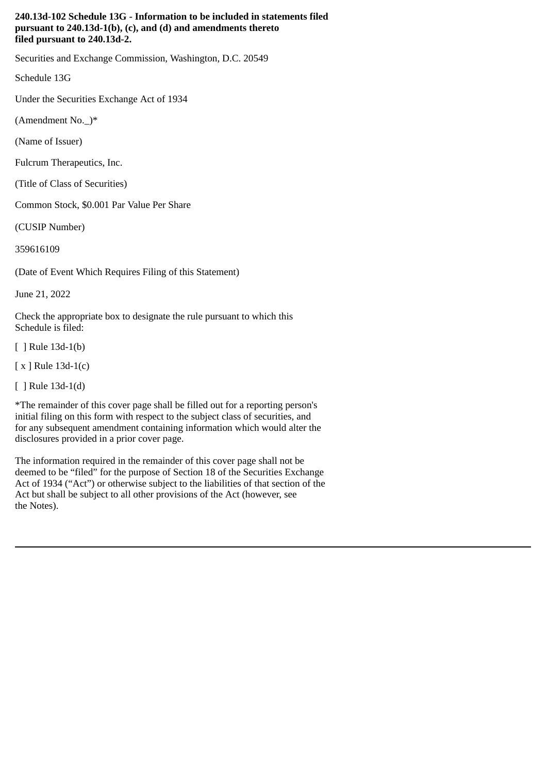### **240.13d-102 Schedule 13G - Information to be included in statements filed pursuant to 240.13d-1(b), (c), and (d) and amendments thereto filed pursuant to 240.13d-2.**

Securities and Exchange Commission, Washington, D.C. 20549

Schedule 13G

Under the Securities Exchange Act of 1934

(Amendment No.\_)\*

(Name of Issuer)

Fulcrum Therapeutics, Inc.

(Title of Class of Securities)

Common Stock, \$0.001 Par Value Per Share

(CUSIP Number)

359616109

(Date of Event Which Requires Filing of this Statement)

June 21, 2022

Check the appropriate box to designate the rule pursuant to which this Schedule is filed:

[ ] Rule 13d-1(b)

[ x ] Rule 13d-1(c)

[ ] Rule 13d-1(d)

\*The remainder of this cover page shall be filled out for a reporting person's initial filing on this form with respect to the subject class of securities, and for any subsequent amendment containing information which would alter the disclosures provided in a prior cover page.

The information required in the remainder of this cover page shall not be deemed to be "filed" for the purpose of Section 18 of the Securities Exchange Act of 1934 ("Act") or otherwise subject to the liabilities of that section of the Act but shall be subject to all other provisions of the Act (however, see the Notes).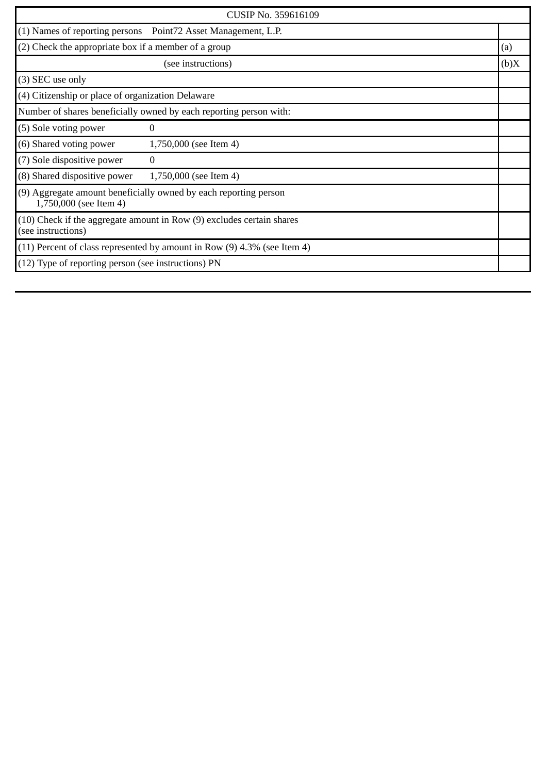| CUSIP No. 359616109                                                                         |                                                                |      |
|---------------------------------------------------------------------------------------------|----------------------------------------------------------------|------|
|                                                                                             | (1) Names of reporting persons  Point72 Asset Management, L.P. |      |
| (2) Check the appropriate box if a member of a group                                        |                                                                | (a)  |
|                                                                                             | (see instructions)                                             | (b)X |
| (3) SEC use only                                                                            |                                                                |      |
| (4) Citizenship or place of organization Delaware                                           |                                                                |      |
| Number of shares beneficially owned by each reporting person with:                          |                                                                |      |
| (5) Sole voting power                                                                       | 0                                                              |      |
| (6) Shared voting power                                                                     | 1,750,000 (see Item 4)                                         |      |
| (7) Sole dispositive power                                                                  | $\overline{0}$                                                 |      |
| (8) Shared dispositive power                                                                | 1,750,000 (see Item 4)                                         |      |
| (9) Aggregate amount beneficially owned by each reporting person<br>1,750,000 (see Item 4)  |                                                                |      |
| (10) Check if the aggregate amount in Row (9) excludes certain shares<br>(see instructions) |                                                                |      |
| $(11)$ Percent of class represented by amount in Row $(9)$ 4.3% (see Item 4)                |                                                                |      |
| $(12)$ Type of reporting person (see instructions) PN                                       |                                                                |      |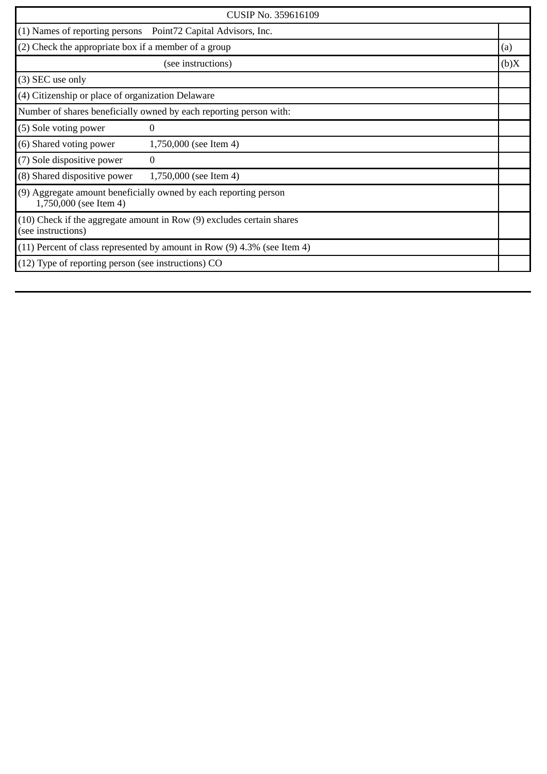| CUSIP No. 359616109                                                                         |                        |      |
|---------------------------------------------------------------------------------------------|------------------------|------|
| (1) Names of reporting persons  Point72 Capital Advisors, Inc.                              |                        |      |
| (2) Check the appropriate box if a member of a group                                        |                        | (a)  |
|                                                                                             | (see instructions)     | (b)X |
| (3) SEC use only                                                                            |                        |      |
| (4) Citizenship or place of organization Delaware                                           |                        |      |
| Number of shares beneficially owned by each reporting person with:                          |                        |      |
| (5) Sole voting power                                                                       | $\Omega$               |      |
| (6) Shared voting power                                                                     | 1,750,000 (see Item 4) |      |
| (7) Sole dispositive power                                                                  | $\bf{0}$               |      |
| (8) Shared dispositive power                                                                | 1,750,000 (see Item 4) |      |
| (9) Aggregate amount beneficially owned by each reporting person<br>1,750,000 (see Item 4)  |                        |      |
| (10) Check if the aggregate amount in Row (9) excludes certain shares<br>(see instructions) |                        |      |
| $(11)$ Percent of class represented by amount in Row $(9)$ 4.3% (see Item 4)                |                        |      |
| (12) Type of reporting person (see instructions) CO                                         |                        |      |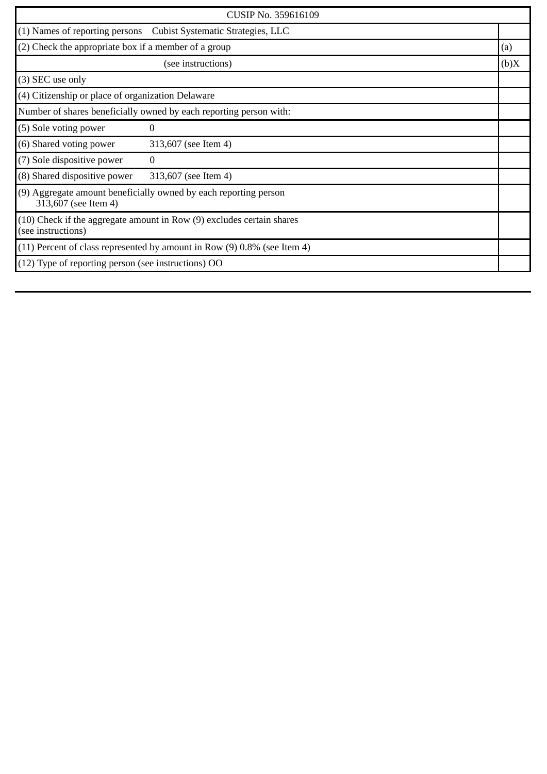| CUSIP No. 359616109                                                                         |                                                                   |      |
|---------------------------------------------------------------------------------------------|-------------------------------------------------------------------|------|
|                                                                                             | (1) Names of reporting persons  Cubist Systematic Strategies, LLC |      |
| (2) Check the appropriate box if a member of a group                                        |                                                                   | (a)  |
|                                                                                             | (see instructions)                                                | (b)X |
| (3) SEC use only                                                                            |                                                                   |      |
| (4) Citizenship or place of organization Delaware                                           |                                                                   |      |
| Number of shares beneficially owned by each reporting person with:                          |                                                                   |      |
| (5) Sole voting power                                                                       | $\Omega$                                                          |      |
| (6) Shared voting power                                                                     | 313,607 (see Item 4)                                              |      |
| (7) Sole dispositive power                                                                  | $\theta$                                                          |      |
| (8) Shared dispositive power                                                                | 313,607 (see Item 4)                                              |      |
| (9) Aggregate amount beneficially owned by each reporting person<br>313,607 (see Item 4)    |                                                                   |      |
| (10) Check if the aggregate amount in Row (9) excludes certain shares<br>(see instructions) |                                                                   |      |
| $(11)$ Percent of class represented by amount in Row $(9)$ 0.8% (see Item 4)                |                                                                   |      |
| (12) Type of reporting person (see instructions) OO                                         |                                                                   |      |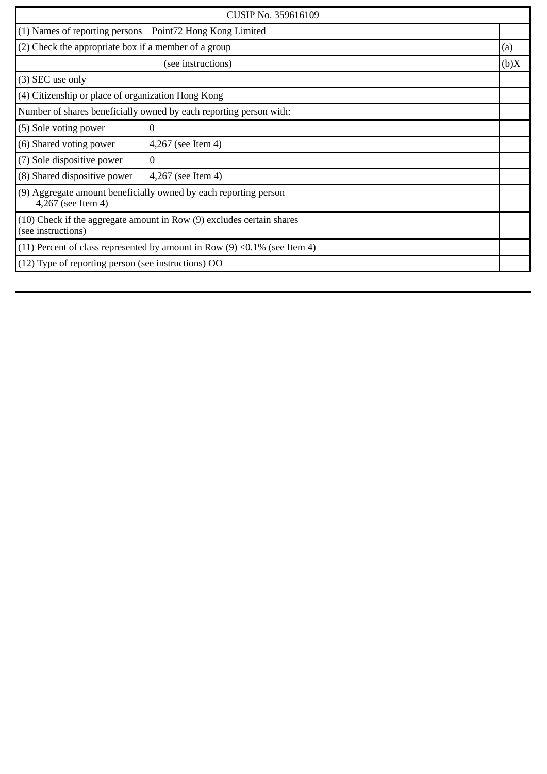| CUSIP No. 359616109                                                                         |                    |      |
|---------------------------------------------------------------------------------------------|--------------------|------|
| (1) Names of reporting persons  Point72 Hong Kong Limited                                   |                    |      |
| (2) Check the appropriate box if a member of a group                                        |                    | (a)  |
|                                                                                             | (see instructions) | (b)X |
| (3) SEC use only                                                                            |                    |      |
| (4) Citizenship or place of organization Hong Kong                                          |                    |      |
| Number of shares beneficially owned by each reporting person with:                          |                    |      |
| (5) Sole voting power                                                                       | 0                  |      |
| (6) Shared voting power                                                                     | 4,267 (see Item 4) |      |
| (7) Sole dispositive power                                                                  | $\bf{0}$           |      |
| (8) Shared dispositive power                                                                | 4,267 (see Item 4) |      |
| (9) Aggregate amount beneficially owned by each reporting person<br>4,267 (see Item 4)      |                    |      |
| (10) Check if the aggregate amount in Row (9) excludes certain shares<br>(see instructions) |                    |      |
| (11) Percent of class represented by amount in Row $(9)$ <0.1% (see Item 4)                 |                    |      |
| (12) Type of reporting person (see instructions) OO                                         |                    |      |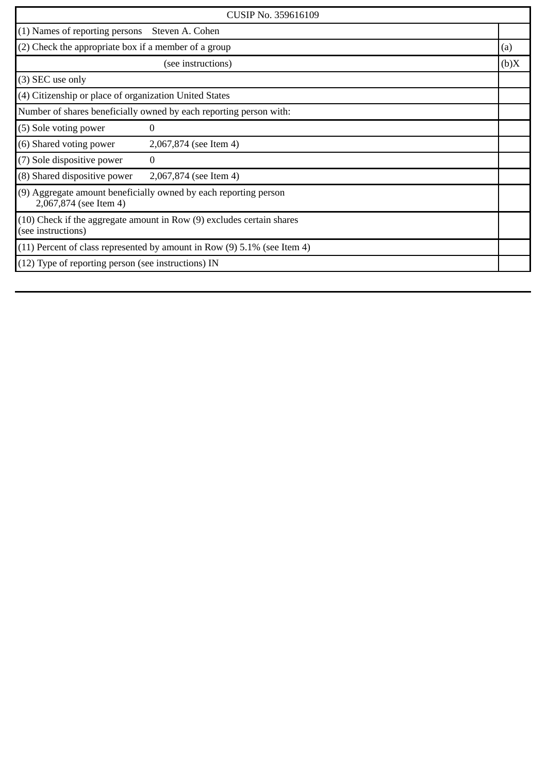| CUSIP No. 359616109                                                                             |                        |      |
|-------------------------------------------------------------------------------------------------|------------------------|------|
| $(1)$ Names of reporting persons                                                                | Steven A. Cohen        |      |
| (2) Check the appropriate box if a member of a group                                            |                        | (a)  |
|                                                                                                 | (see instructions)     | (b)X |
| (3) SEC use only                                                                                |                        |      |
| (4) Citizenship or place of organization United States                                          |                        |      |
| Number of shares beneficially owned by each reporting person with:                              |                        |      |
| (5) Sole voting power                                                                           | $\Omega$               |      |
| (6) Shared voting power                                                                         | 2,067,874 (see Item 4) |      |
| (7) Sole dispositive power                                                                      | $\Omega$               |      |
| (8) Shared dispositive power                                                                    | 2,067,874 (see Item 4) |      |
| (9) Aggregate amount beneficially owned by each reporting person<br>2,067,874 (see Item 4)      |                        |      |
| $(10)$ Check if the aggregate amount in Row $(9)$ excludes certain shares<br>(see instructions) |                        |      |
| $(11)$ Percent of class represented by amount in Row $(9)$ 5.1% (see Item 4)                    |                        |      |
| (12) Type of reporting person (see instructions) IN                                             |                        |      |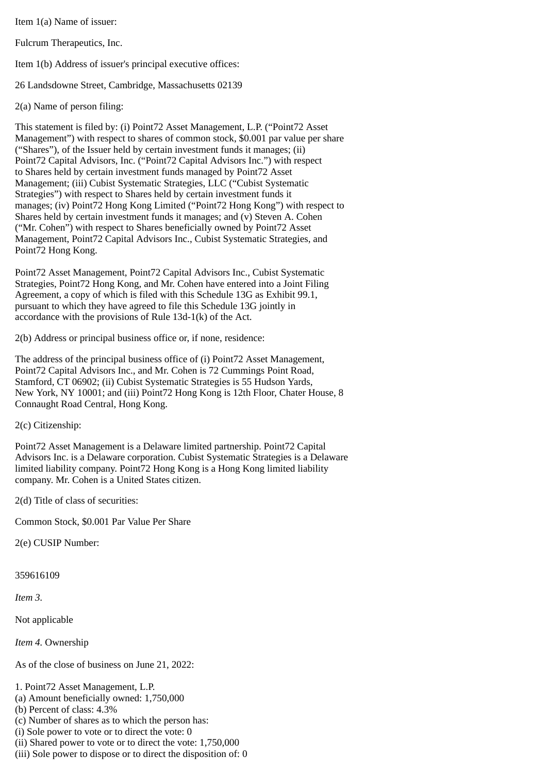Item 1(a) Name of issuer:

Fulcrum Therapeutics, Inc.

Item 1(b) Address of issuer's principal executive offices:

26 Landsdowne Street, Cambridge, Massachusetts 02139

2(a) Name of person filing:

This statement is filed by: (i) Point72 Asset Management, L.P. ("Point72 Asset Management") with respect to shares of common stock, \$0.001 par value per share ("Shares"), of the Issuer held by certain investment funds it manages; (ii) Point72 Capital Advisors, Inc. ("Point72 Capital Advisors Inc.") with respect to Shares held by certain investment funds managed by Point72 Asset Management; (iii) Cubist Systematic Strategies, LLC ("Cubist Systematic Strategies") with respect to Shares held by certain investment funds it manages; (iv) Point72 Hong Kong Limited ("Point72 Hong Kong") with respect to Shares held by certain investment funds it manages; and (v) Steven A. Cohen ("Mr. Cohen") with respect to Shares beneficially owned by Point72 Asset Management, Point72 Capital Advisors Inc., Cubist Systematic Strategies, and Point72 Hong Kong.

Point72 Asset Management, Point72 Capital Advisors Inc., Cubist Systematic Strategies, Point72 Hong Kong, and Mr. Cohen have entered into a Joint Filing Agreement, a copy of which is filed with this Schedule 13G as Exhibit 99.1, pursuant to which they have agreed to file this Schedule 13G jointly in accordance with the provisions of Rule 13d-1(k) of the Act.

2(b) Address or principal business office or, if none, residence:

The address of the principal business office of (i) Point72 Asset Management, Point72 Capital Advisors Inc., and Mr. Cohen is 72 Cummings Point Road, Stamford, CT 06902; (ii) Cubist Systematic Strategies is 55 Hudson Yards, New York, NY 10001; and (iii) Point72 Hong Kong is 12th Floor, Chater House, 8 Connaught Road Central, Hong Kong.

2(c) Citizenship:

Point72 Asset Management is a Delaware limited partnership. Point72 Capital Advisors Inc. is a Delaware corporation. Cubist Systematic Strategies is a Delaware limited liability company. Point72 Hong Kong is a Hong Kong limited liability company. Mr. Cohen is a United States citizen.

2(d) Title of class of securities:

Common Stock, \$0.001 Par Value Per Share

2(e) CUSIP Number:

359616109

*Item 3.*

Not applicable

*Item 4.* Ownership

As of the close of business on June 21, 2022:

1. Point72 Asset Management, L.P.

- (a) Amount beneficially owned: 1,750,000
- (b) Percent of class: 4.3%
- (c) Number of shares as to which the person has:
- (i) Sole power to vote or to direct the vote: 0
- (ii) Shared power to vote or to direct the vote: 1,750,000
- (iii) Sole power to dispose or to direct the disposition of: 0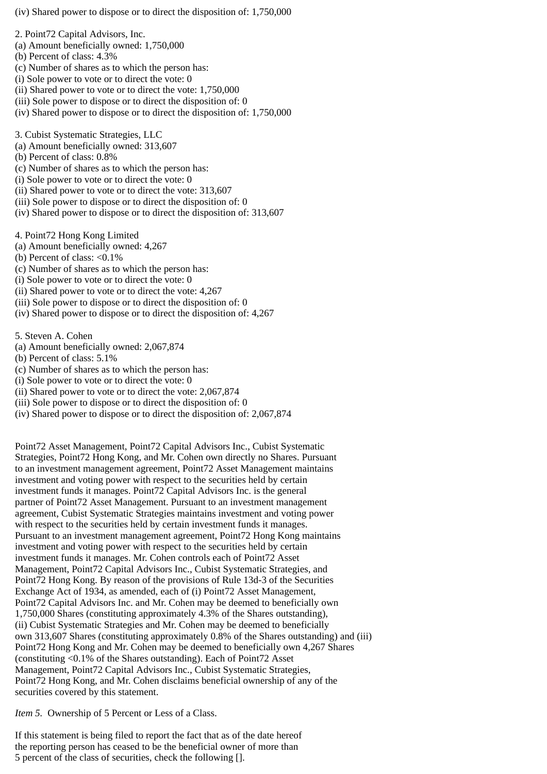(iv) Shared power to dispose or to direct the disposition of: 1,750,000

2. Point72 Capital Advisors, Inc.

- (a) Amount beneficially owned: 1,750,000
- (b) Percent of class: 4.3%
- (c) Number of shares as to which the person has:
- (i) Sole power to vote or to direct the vote: 0
- (ii) Shared power to vote or to direct the vote: 1,750,000
- (iii) Sole power to dispose or to direct the disposition of: 0
- (iv) Shared power to dispose or to direct the disposition of: 1,750,000

3. Cubist Systematic Strategies, LLC

- (a) Amount beneficially owned: 313,607
- (b) Percent of class: 0.8%
- (c) Number of shares as to which the person has:
- (i) Sole power to vote or to direct the vote: 0
- (ii) Shared power to vote or to direct the vote: 313,607
- (iii) Sole power to dispose or to direct the disposition of: 0
- (iv) Shared power to dispose or to direct the disposition of: 313,607

4. Point72 Hong Kong Limited

- (a) Amount beneficially owned: 4,267
- (b) Percent of class:  $\leq 0.1\%$
- (c) Number of shares as to which the person has:
- (i) Sole power to vote or to direct the vote: 0
- (ii) Shared power to vote or to direct the vote: 4,267
- (iii) Sole power to dispose or to direct the disposition of: 0
- (iv) Shared power to dispose or to direct the disposition of: 4,267

5. Steven A. Cohen

- (a) Amount beneficially owned: 2,067,874
- (b) Percent of class: 5.1%
- (c) Number of shares as to which the person has:
- (i) Sole power to vote or to direct the vote: 0
- (ii) Shared power to vote or to direct the vote: 2,067,874
- (iii) Sole power to dispose or to direct the disposition of: 0
- (iv) Shared power to dispose or to direct the disposition of: 2,067,874

Point72 Asset Management, Point72 Capital Advisors Inc., Cubist Systematic Strategies, Point72 Hong Kong, and Mr. Cohen own directly no Shares. Pursuant to an investment management agreement, Point72 Asset Management maintains investment and voting power with respect to the securities held by certain investment funds it manages. Point72 Capital Advisors Inc. is the general partner of Point72 Asset Management. Pursuant to an investment management agreement, Cubist Systematic Strategies maintains investment and voting power with respect to the securities held by certain investment funds it manages. Pursuant to an investment management agreement, Point72 Hong Kong maintains investment and voting power with respect to the securities held by certain investment funds it manages. Mr. Cohen controls each of Point72 Asset Management, Point72 Capital Advisors Inc., Cubist Systematic Strategies, and Point72 Hong Kong. By reason of the provisions of Rule 13d-3 of the Securities Exchange Act of 1934, as amended, each of (i) Point72 Asset Management, Point72 Capital Advisors Inc. and Mr. Cohen may be deemed to beneficially own 1,750,000 Shares (constituting approximately 4.3% of the Shares outstanding), (ii) Cubist Systematic Strategies and Mr. Cohen may be deemed to beneficially own 313,607 Shares (constituting approximately 0.8% of the Shares outstanding) and (iii) Point72 Hong Kong and Mr. Cohen may be deemed to beneficially own 4,267 Shares (constituting <0.1% of the Shares outstanding). Each of Point72 Asset Management, Point72 Capital Advisors Inc., Cubist Systematic Strategies, Point72 Hong Kong, and Mr. Cohen disclaims beneficial ownership of any of the securities covered by this statement.

*Item 5.* Ownership of 5 Percent or Less of a Class.

If this statement is being filed to report the fact that as of the date hereof the reporting person has ceased to be the beneficial owner of more than 5 percent of the class of securities, check the following [].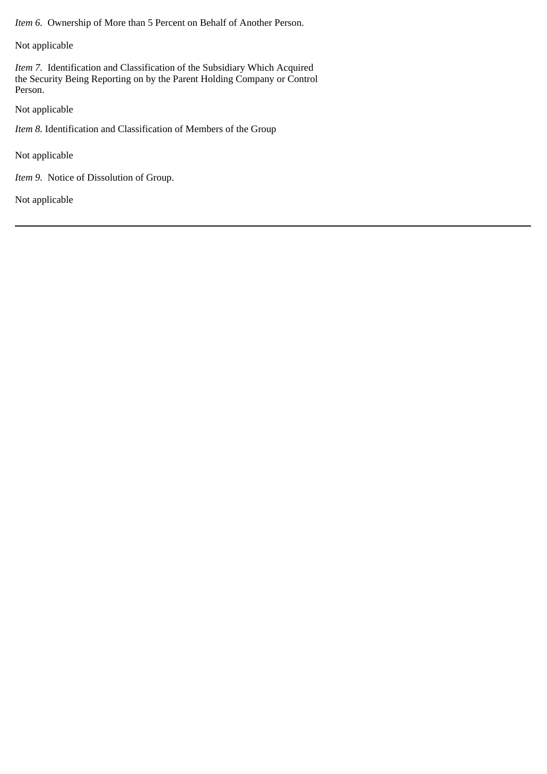*Item 6.* Ownership of More than 5 Percent on Behalf of Another Person.

Not applicable

*Item 7.* Identification and Classification of the Subsidiary Which Acquired the Security Being Reporting on by the Parent Holding Company or Control Person.

Not applicable

*Item 8.* Identification and Classification of Members of the Group

Not applicable

*Item 9.* Notice of Dissolution of Group.

Not applicable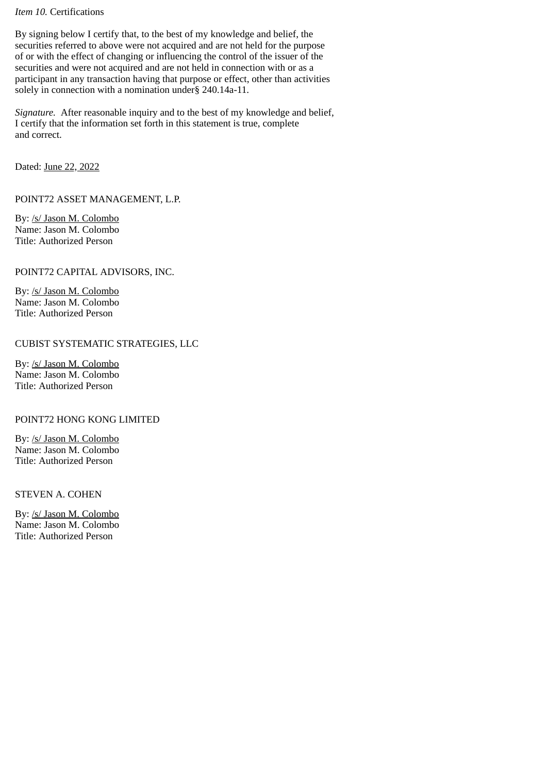### *Item 10.* Certifications

By signing below I certify that, to the best of my knowledge and belief, the securities referred to above were not acquired and are not held for the purpose of or with the effect of changing or influencing the control of the issuer of the securities and were not acquired and are not held in connection with or as a participant in any transaction having that purpose or effect, other than activities solely in connection with a nomination under§ 240.14a-11.

*Signature.* After reasonable inquiry and to the best of my knowledge and belief, I certify that the information set forth in this statement is true, complete and correct.

Dated: June 22, 2022

POINT72 ASSET MANAGEMENT, L.P.

By: /s/ Jason M. Colombo Name: Jason M. Colombo Title: Authorized Person

POINT72 CAPITAL ADVISORS, INC.

By: /s/ Jason M. Colombo Name: Jason M. Colombo Title: Authorized Person

# CUBIST SYSTEMATIC STRATEGIES, LLC

By: /s/ Jason M. Colombo Name: Jason M. Colombo Title: Authorized Person

# POINT72 HONG KONG LIMITED

By: /s/ Jason M. Colombo Name: Jason M. Colombo Title: Authorized Person

STEVEN A. COHEN

By: /s/ Jason M. Colombo Name: Jason M. Colombo Title: Authorized Person